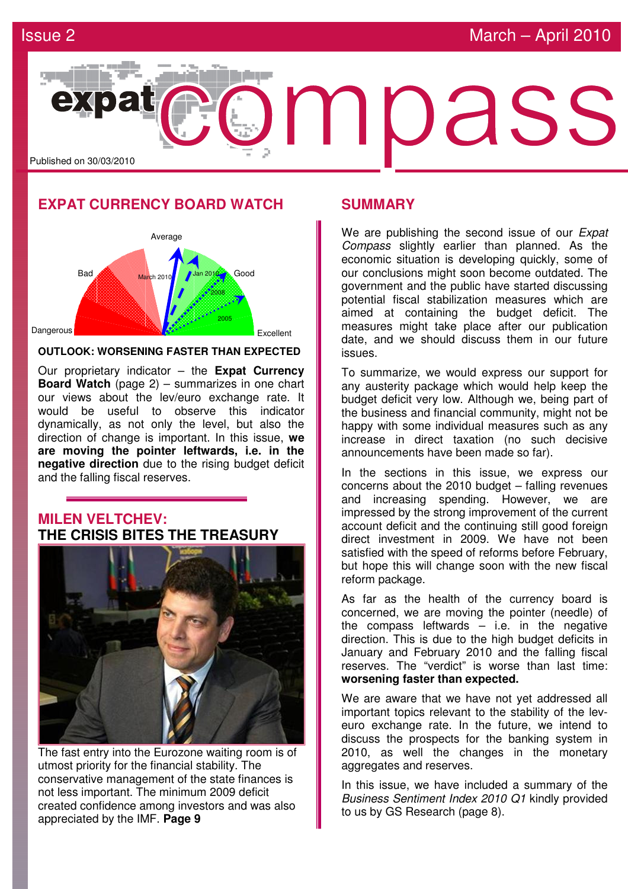

### **EXPAT CURRENCY BOARD WATCH**



### **OUTLOOK: WORSENING FASTER THAN EXPECTED**

Our proprietary indicator – the **Expat Currency Board Watch** (page 2) – summarizes in one chart our views about the lev/euro exchange rate. It would be useful to observe this indicator dynamically, as not only the level, but also the direction of change is important. In this issue, **we are moving the pointer leftwards, i.e. in the negative direction** due to the rising budget deficit and the falling fiscal reserves.

### **MILEN VELTCHEV: THE CRISIS BITES THE TREASURY**



The fast entry into the Eurozone waiting room is of utmost priority for the financial stability. The conservative management of the state finances is not less important. The minimum 2009 deficit created confidence among investors and was also appreciated by the IMF. **Page 9** 

### **SUMMARY**

We are publishing the second issue of our *Expat* Compass slightly earlier than planned. As the economic situation is developing quickly, some of our conclusions might soon become outdated. The government and the public have started discussing potential fiscal stabilization measures which are aimed at containing the budget deficit. The measures might take place after our publication date, and we should discuss them in our future issues.

To summarize, we would express our support for any austerity package which would help keep the budget deficit very low. Although we, being part of the business and financial community, might not be happy with some individual measures such as any increase in direct taxation (no such decisive announcements have been made so far).

In the sections in this issue, we express our concerns about the 2010 budget – falling revenues and increasing spending. However, we are impressed by the strong improvement of the current account deficit and the continuing still good foreign direct investment in 2009. We have not been satisfied with the speed of reforms before February, but hope this will change soon with the new fiscal reform package.

As far as the health of the currency board is concerned, we are moving the pointer (needle) of the compass leftwards  $-$  i.e. in the negative direction. This is due to the high budget deficits in January and February 2010 and the falling fiscal reserves. The "verdict" is worse than last time: **worsening faster than expected.**

We are aware that we have not yet addressed all important topics relevant to the stability of the leveuro exchange rate. In the future, we intend to discuss the prospects for the banking system in 2010, as well the changes in the monetary aggregates and reserves.

In this issue, we have included a summary of the Business Sentiment Index 2010 Q1 kindly provided to us by GS Research (page 8).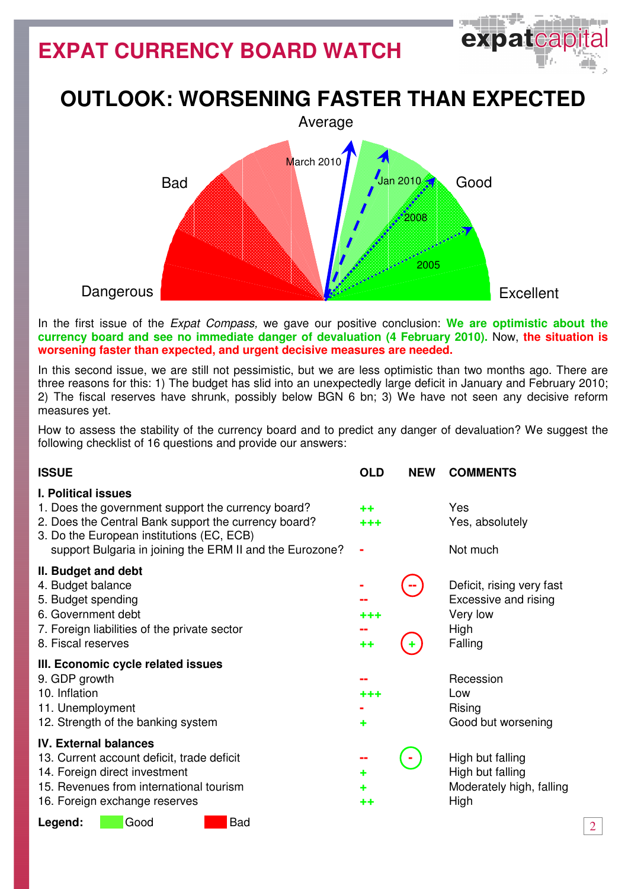# **EXPAT CURRENCY BOARD WATCH**



## **OUTLOOK: WORSENING FASTER THAN EXPECTED**



In the first issue of the Expat Compass, we gave our positive conclusion: **We are optimistic about the currency board and see no immediate danger of devaluation (4 February 2010).** Now, **the situation is worsening faster than expected, and urgent decisive measures are needed.**

In this second issue, we are still not pessimistic, but we are less optimistic than two months ago. There are three reasons for this: 1) The budget has slid into an unexpectedly large deficit in January and February 2010; 2) The fiscal reserves have shrunk, possibly below BGN 6 bn; 3) We have not seen any decisive reform measures yet.

How to assess the stability of the currency board and to predict any danger of devaluation? We suggest the following checklist of 16 questions and provide our answers:

| <b>ISSUE</b>                                                                                                                                                                                                                                      | <b>OLD</b>            | <b>NEW</b> | <b>COMMENTS</b>                                                                  |
|---------------------------------------------------------------------------------------------------------------------------------------------------------------------------------------------------------------------------------------------------|-----------------------|------------|----------------------------------------------------------------------------------|
| <b>I. Political issues</b><br>1. Does the government support the currency board?<br>2. Does the Central Bank support the currency board?<br>3. Do the European institutions (EC, ECB)<br>support Bulgaria in joining the ERM II and the Eurozone? | $^{\tiny{++}}$<br>+++ |            | Yes<br>Yes, absolutely<br>Not much                                               |
| II. Budget and debt<br>4. Budget balance<br>5. Budget spending<br>6. Government debt<br>7. Foreign liabilities of the private sector<br>8. Fiscal reserves                                                                                        | +++<br>++             |            | Deficit, rising very fast<br>Excessive and rising<br>Very low<br>High<br>Falling |
| III. Economic cycle related issues<br>9. GDP growth<br>10. Inflation<br>11. Unemployment<br>12. Strength of the banking system                                                                                                                    | +++<br>٠              |            | Recession<br>Low<br>Rising<br>Good but worsening                                 |
| <b>IV. External balances</b><br>13. Current account deficit, trade deficit<br>14. Foreign direct investment<br>15. Revenues from international tourism<br>16. Foreign exchange reserves<br><b>Bad</b><br>Good<br>Legend:                          | ٠<br>٠<br>++          |            | High but falling<br>High but falling<br>Moderately high, falling<br>High         |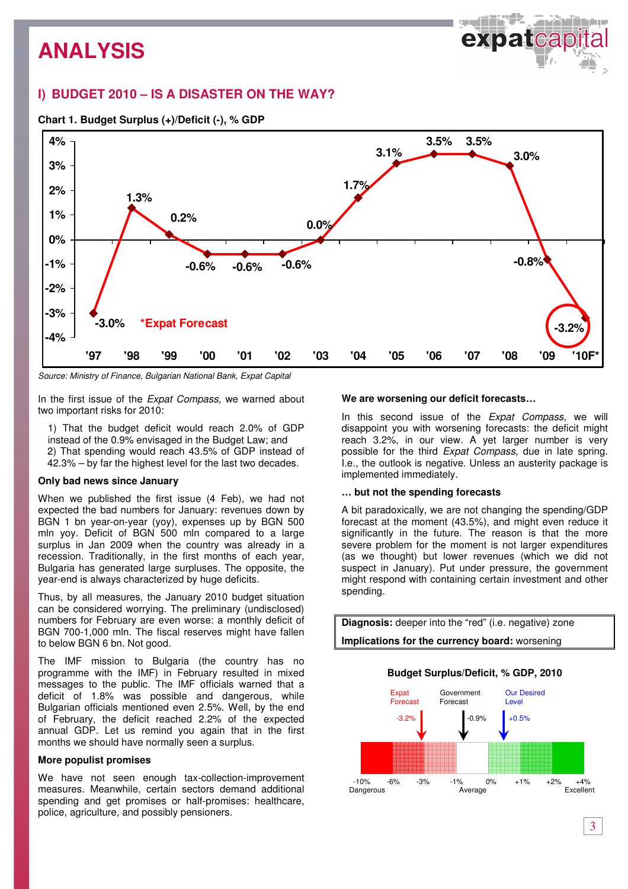### **I) BUDGET 2010 – IS A DISASTER ON THE WAY?**





Source: Ministry of Finance, Bulgarian National Bank, Expat Capital

In the first issue of the Expat Compass, we warned about two important risks for 2010:

1) That the budget deficit would reach 2.0% of GDP instead of the 0.9% envisaged in the Budget Law; and 2) That spending would reach 43.5% of GDP instead of 42.3% – by far the highest level for the last two decades.

### **Only bad news since January**

When we published the first issue (4 Feb), we had not expected the bad numbers for January: revenues down by BGN 1 bn year-on-year (yoy), expenses up by BGN 500 mln yoy. Deficit of BGN 500 mln compared to a large surplus in Jan 2009 when the country was already in a recession. Traditionally, in the first months of each year, Bulgaria has generated large surpluses. The opposite, the year-end is always characterized by huge deficits.

Thus, by all measures, the January 2010 budget situation can be considered worrying. The preliminary (undisclosed) numbers for February are even worse: a monthly deficit of BGN 700-1,000 mln. The fiscal reserves might have fallen to below BGN 6 bn. Not good.

The IMF mission to Bulgaria (the country has no programme with the IMF) in February resulted in mixed messages to the public. The IMF officials warned that a deficit of 1.8% was possible and dangerous, while Bulgarian officials mentioned even 2.5%. Well, by the end of February, the deficit reached 2.2% of the expected annual GDP. Let us remind you again that in the first months we should have normally seen a surplus.

#### **More populist promises**

We have not seen enough tax-collection-improvement measures. Meanwhile, certain sectors demand additional spending and get promises or half-promises: healthcare, police, agriculture, and possibly pensioners.

#### **We are worsening our deficit forecasts…**

In this second issue of the *Expat Compass*, we will disappoint you with worsening forecasts: the deficit might reach 3.2%, in our view. A yet larger number is very possible for the third Expat Compass, due in late spring. I.e., the outlook is negative. Unless an austerity package is implemented immediately.

#### **… but not the spending forecasts**

A bit paradoxically, we are not changing the spending/GDP forecast at the moment (43.5%), and might even reduce it significantly in the future. The reason is that the more severe problem for the moment is not larger expenditures (as we thought) but lower revenues (which we did not suspect in January). Put under pressure, the government might respond with containing certain investment and other spending.

**Diagnosis:** deeper into the "red" (i.e. negative) zone **Implications for the currency board:** worsening

### **Budget Surplus/Deficit, % GDP, 2010**

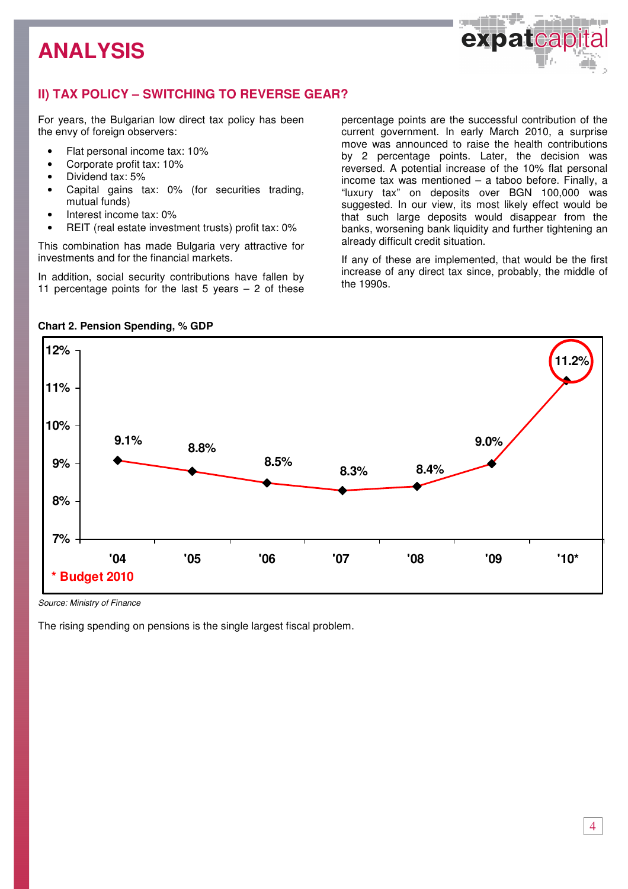

### **II) TAX POLICY – SWITCHING TO REVERSE GEAR?**

For years, the Bulgarian low direct tax policy has been the envy of foreign observers:

- Flat personal income tax: 10%
- Corporate profit tax: 10%
- Dividend tax: 5%
- Capital gains tax: 0% (for securities trading, mutual funds)
- Interest income tax: 0%
- REIT (real estate investment trusts) profit tax: 0%

This combination has made Bulgaria very attractive for investments and for the financial markets.

In addition, social security contributions have fallen by 11 percentage points for the last  $5$  years  $-2$  of these percentage points are the successful contribution of the current government. In early March 2010, a surprise move was announced to raise the health contributions by 2 percentage points. Later, the decision was reversed. A potential increase of the 10% flat personal income tax was mentioned – a taboo before. Finally, a "luxury tax" on deposits over BGN 100,000 was suggested. In our view, its most likely effect would be that such large deposits would disappear from the banks, worsening bank liquidity and further tightening an already difficult credit situation.

If any of these are implemented, that would be the first increase of any direct tax since, probably, the middle of the 1990s.



### **Chart 2. Pension Spending, % GDP**

Source: Ministry of Finance

The rising spending on pensions is the single largest fiscal problem.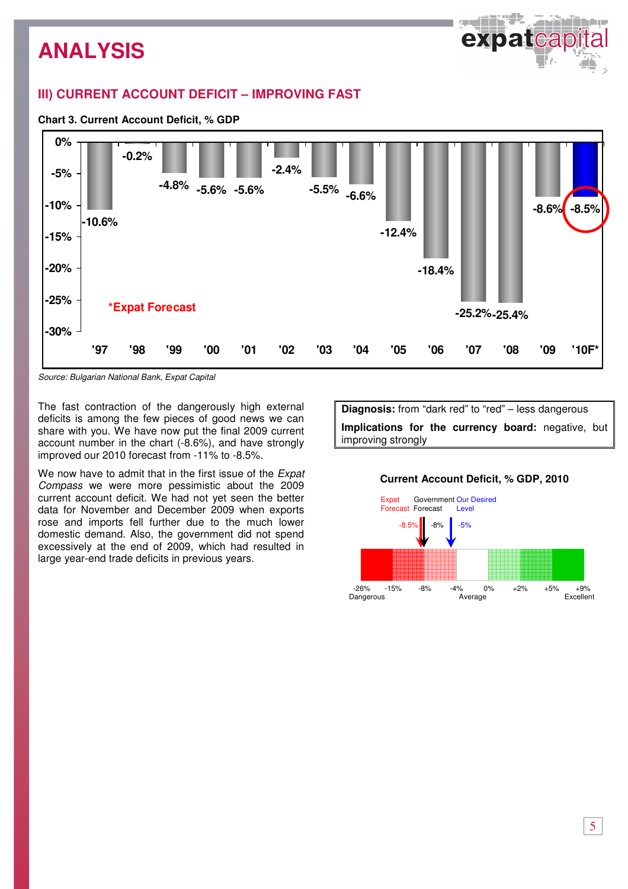### **III) CURRENT ACCOUNT DEFICIT – IMPROVING FAST**

### **Chart 3. Current Account Deficit, % GDP**



Source: Bulgarian National Bank, Expat Capital

The fast contraction of the dangerously high external deficits is among the few pieces of good news we can share with you. We have now put the final 2009 current account number in the chart (-8.6%), and have strongly improved our 2010 forecast from -11% to -8.5%.

We now have to admit that in the first issue of the *Expat* Compass we were more pessimistic about the 2009 current account deficit. We had not yet seen the better data for November and December 2009 when exports rose and imports fell further due to the much lower domestic demand. Also, the government did not spend excessively at the end of 2009, which had resulted in large year-end trade deficits in previous years.

**Diagnosis:** from "dark red" to "red" – less dangerous **Implications for the currency board:** negative, but improving strongly

### **Current Account Deficit, % GDP, 2010**

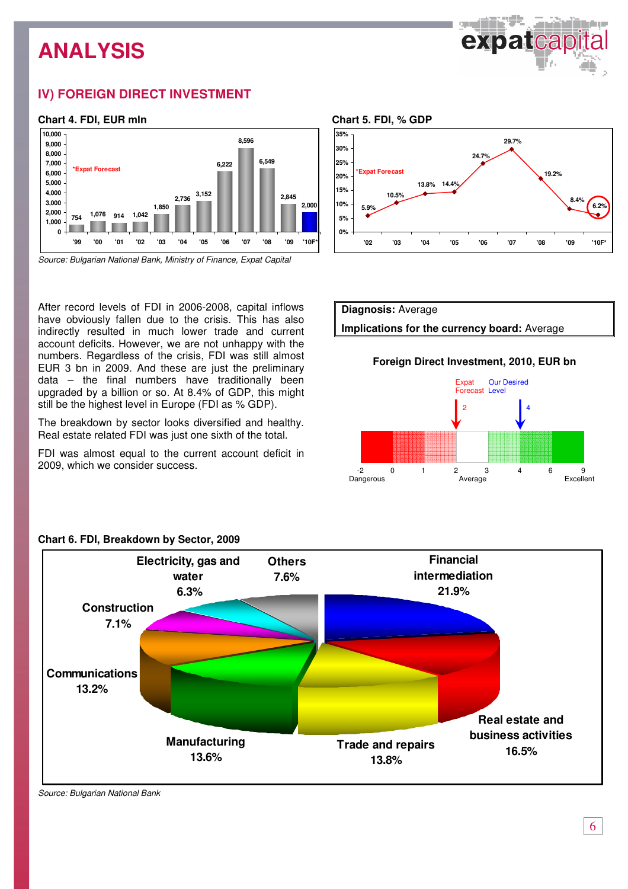

### **IV) FOREIGN DIRECT INVESTMENT**

### **Chart 4. FDI, EUR mln**



Source: Bulgarian National Bank, Ministry of Finance, Expat Capital

After record levels of FDI in 2006-2008, capital inflows have obviously fallen due to the crisis. This has also indirectly resulted in much lower trade and current account deficits. However, we are not unhappy with the numbers. Regardless of the crisis, FDI was still almost EUR 3 bn in 2009. And these are just the preliminary data – the final numbers have traditionally been upgraded by a billion or so. At 8.4% of GDP, this might still be the highest level in Europe (FDI as % GDP).

The breakdown by sector looks diversified and healthy. Real estate related FDI was just one sixth of the total.

FDI was almost equal to the current account deficit in 2009, which we consider success.





### **Foreign Direct Investment, 2010, EUR bn**





### **Chart 6. FDI, Breakdown by Sector, 2009**

Source: Bulgarian National Bank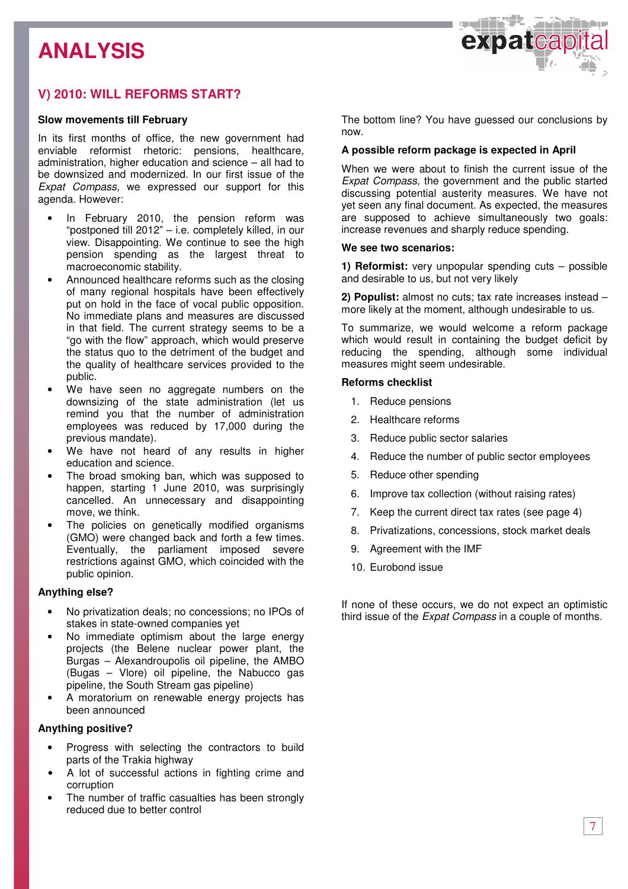

### **V) 2010: WILL REFORMS START?**

### **Slow movements till February**

In its first months of office, the new government had enviable reformist rhetoric: pensions, healthcare, administration, higher education and science – all had to be downsized and modernized. In our first issue of the Expat Compass, we expressed our support for this agenda. However:

- In February 2010, the pension reform was "postponed till 2012" – i.e. completely killed, in our view. Disappointing. We continue to see the high pension spending as the largest threat to macroeconomic stability.
- Announced healthcare reforms such as the closing of many regional hospitals have been effectively put on hold in the face of vocal public opposition. No immediate plans and measures are discussed in that field. The current strategy seems to be a "go with the flow" approach, which would preserve the status quo to the detriment of the budget and the quality of healthcare services provided to the public.
- We have seen no aggregate numbers on the downsizing of the state administration (let us remind you that the number of administration employees was reduced by 17,000 during the previous mandate).
- We have not heard of any results in higher education and science.
- The broad smoking ban, which was supposed to happen, starting 1 June 2010, was surprisingly cancelled. An unnecessary and disappointing move, we think.
- The policies on genetically modified organisms (GMO) were changed back and forth a few times. Eventually, the parliament imposed severe restrictions against GMO, which coincided with the public opinion.

### **Anything else?**

- No privatization deals; no concessions; no IPOs of stakes in state-owned companies yet
- No immediate optimism about the large energy projects (the Belene nuclear power plant, the Burgas – Alexandroupolis oil pipeline, the AMBO (Bugas – Vlore) oil pipeline, the Nabucco gas pipeline, the South Stream gas pipeline)
- A moratorium on renewable energy projects has been announced

### **Anything positive?**

- Progress with selecting the contractors to build parts of the Trakia highway
- A lot of successful actions in fighting crime and corruption
- The number of traffic casualties has been strongly reduced due to better control

The bottom line? You have guessed our conclusions by now.

### **A possible reform package is expected in April**

When we were about to finish the current issue of the Expat Compass, the government and the public started discussing potential austerity measures. We have not yet seen any final document. As expected, the measures are supposed to achieve simultaneously two goals: increase revenues and sharply reduce spending.

### **We see two scenarios:**

**1) Reformist:** very unpopular spending cuts – possible and desirable to us, but not very likely

**2) Populist:** almost no cuts; tax rate increases instead – more likely at the moment, although undesirable to us.

To summarize, we would welcome a reform package which would result in containing the budget deficit by reducing the spending, although some individual measures might seem undesirable.

### **Reforms checklist**

- 1. Reduce pensions
- 2. Healthcare reforms
- 3. Reduce public sector salaries
- 4. Reduce the number of public sector employees
- 5. Reduce other spending
- 6. Improve tax collection (without raising rates)
- 7. Keep the current direct tax rates (see page 4)
- 8. Privatizations, concessions, stock market deals
- 9. Agreement with the IMF
- 10. Eurobond issue

If none of these occurs, we do not expect an optimistic third issue of the *Expat Compass* in a couple of months.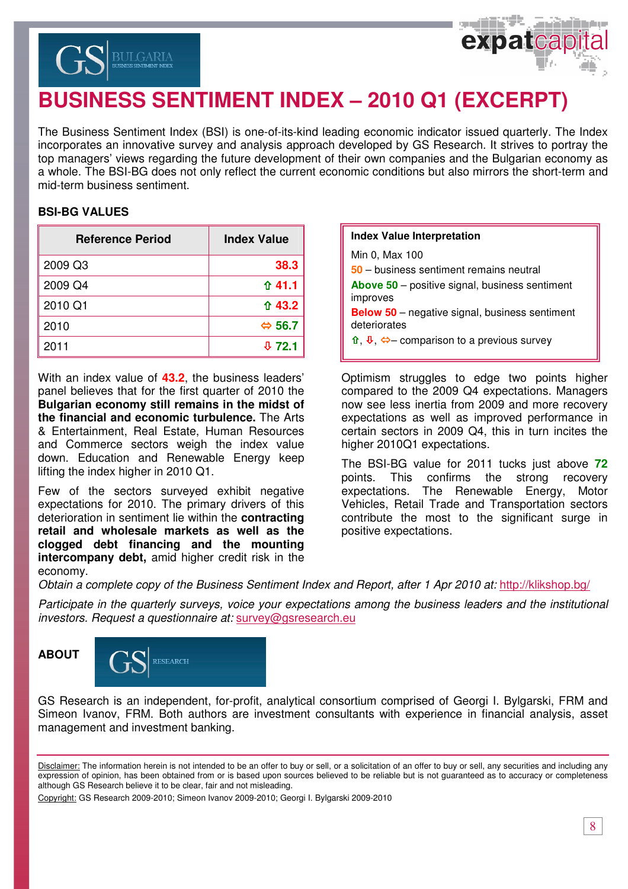



# **BUSINESS SENTIMENT INDEX – 2010 Q1 (EXCERPT)**

The Business Sentiment Index (BSI) is one-of-its-kind leading economic indicator issued quarterly. The Index incorporates an innovative survey and analysis approach developed by GS Research. It strives to portray the top managers' views regarding the future development of their own companies and the Bulgarian economy as a whole. The BSI-BG does not only reflect the current economic conditions but also mirrors the short-term and mid-term business sentiment.

### **BSI-BG VALUES**

| <b>Reference Period</b> | <b>Index Value</b>     |
|-------------------------|------------------------|
| 2009 Q3                 | 38.3                   |
| 2009 Q4                 | ↑41.1                  |
| 2010 Q1                 | ↑ 43.2                 |
| 2010                    | $\Leftrightarrow$ 56.7 |
| 2011                    | 0.72.1                 |

With an index value of **43.2**, the business leaders' panel believes that for the first quarter of 2010 the **Bulgarian economy still remains in the midst of the financial and economic turbulence.** The Arts & Entertainment, Real Estate, Human Resources and Commerce sectors weigh the index value down. Education and Renewable Energy keep lifting the index higher in 2010 Q1.

Few of the sectors surveyed exhibit negative expectations for 2010. The primary drivers of this deterioration in sentiment lie within the **contracting retail and wholesale markets as well as the clogged debt financing and the mounting intercompany debt,** amid higher credit risk in the economy.

| <b>Index Value Interpretation</b>                                                                        |
|----------------------------------------------------------------------------------------------------------|
| Min 0, Max 100                                                                                           |
| 50 – business sentiment remains neutral                                                                  |
| <b>Above 50</b> – positive signal, business sentiment<br>improves                                        |
| <b>Below 50</b> – negative signal, business sentiment<br>deteriorates                                    |
| $\hat{\mathbf{u}}, \hat{\mathbf{v}}, \hat{\boldsymbol{\Leftrightarrow}}$ comparison to a previous survey |

Optimism struggles to edge two points higher compared to the 2009 Q4 expectations. Managers now see less inertia from 2009 and more recovery expectations as well as improved performance in certain sectors in 2009 Q4, this in turn incites the higher 2010Q1 expectations.

The BSI-BG value for 2011 tucks just above **72** points. This confirms the strong recovery expectations. The Renewable Energy, Motor Vehicles, Retail Trade and Transportation sectors contribute the most to the significant surge in positive expectations.

Obtain a complete copy of the Business Sentiment Index and Report, after 1 Apr 2010 at: http://klikshop.bg/

Participate in the quarterly surveys, voice your expectations among the business leaders and the institutional investors. Request a questionnaire at: survey@gsresearch.eu





GS Research is an independent, for-profit, analytical consortium comprised of Georgi I. Bylgarski, FRM and Simeon Ivanov, FRM. Both authors are investment consultants with experience in financial analysis, asset management and investment banking.

Copyright: GS Research 2009-2010; Simeon Ivanov 2009-2010; Georgi I. Bylgarski 2009-2010

Disclaimer: The information herein is not intended to be an offer to buy or sell, or a solicitation of an offer to buy or sell, any securities and including any expression of opinion, has been obtained from or is based upon sources believed to be reliable but is not guaranteed as to accuracy or completeness although GS Research believe it to be clear, fair and not misleading.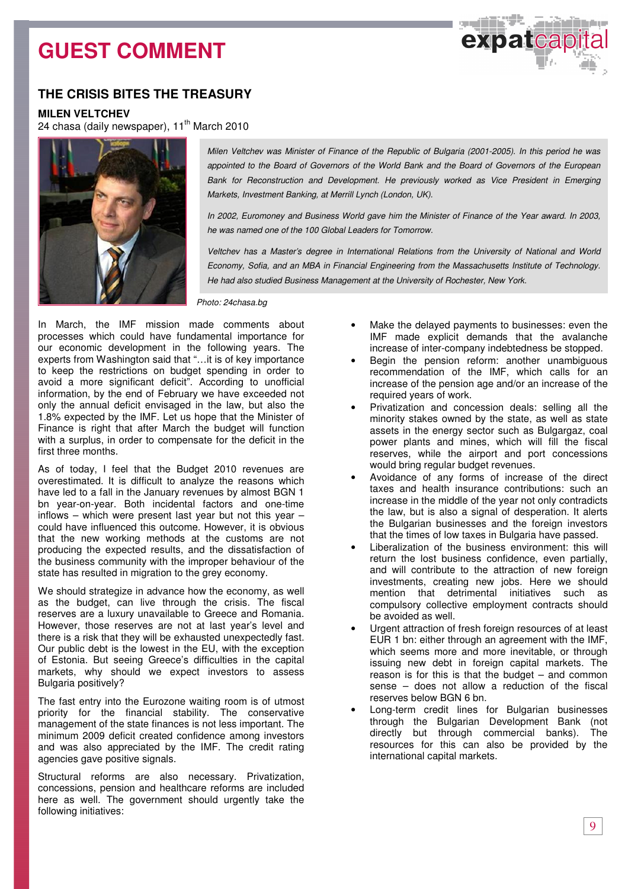# **GUEST COMMENT**



### **THE CRISIS BITES THE TREASURY**

**MILEN VELTCHEV** 

24 chasa (daily newspaper), 11<sup>th</sup> March 2010



Milen Veltchev was Minister of Finance of the Republic of Bulgaria (2001-2005). In this period he was appointed to the Board of Governors of the World Bank and the Board of Governors of the European Bank for Reconstruction and Development. He previously worked as Vice President in Emerging Markets, Investment Banking, at Merrill Lynch (London, UK).

In 2002, Euromoney and Business World gave him the Minister of Finance of the Year award. In 2003, he was named one of the 100 Global Leaders for Tomorrow.

Veltchev has a Master's degree in International Relations from the University of National and World Economy, Sofia, and an MBA in Financial Engineering from the Massachusetts Institute of Technology. He had also studied Business Management at the University of Rochester, New York.

Photo: 24chasa.bg

In March, the IMF mission made comments about processes which could have fundamental importance for our economic development in the following years. The experts from Washington said that "…it is of key importance to keep the restrictions on budget spending in order to avoid a more significant deficit". According to unofficial information, by the end of February we have exceeded not only the annual deficit envisaged in the law, but also the 1.8% expected by the IMF. Let us hope that the Minister of Finance is right that after March the budget will function with a surplus, in order to compensate for the deficit in the first three months.

As of today, I feel that the Budget 2010 revenues are overestimated. It is difficult to analyze the reasons which have led to a fall in the January revenues by almost BGN 1 bn year-on-year. Both incidental factors and one-time inflows – which were present last year but not this year  $$ could have influenced this outcome. However, it is obvious that the new working methods at the customs are not producing the expected results, and the dissatisfaction of the business community with the improper behaviour of the state has resulted in migration to the grey economy.

We should strategize in advance how the economy, as well as the budget, can live through the crisis. The fiscal reserves are a luxury unavailable to Greece and Romania. However, those reserves are not at last year's level and there is a risk that they will be exhausted unexpectedly fast. Our public debt is the lowest in the EU, with the exception of Estonia. But seeing Greece's difficulties in the capital markets, why should we expect investors to assess Bulgaria positively?

The fast entry into the Eurozone waiting room is of utmost priority for the financial stability. The conservative management of the state finances is not less important. The minimum 2009 deficit created confidence among investors and was also appreciated by the IMF. The credit rating agencies gave positive signals.

Structural reforms are also necessary. Privatization, concessions, pension and healthcare reforms are included here as well. The government should urgently take the following initiatives:

- Make the delayed payments to businesses: even the IMF made explicit demands that the avalanche increase of inter-company indebtedness be stopped.
- Begin the pension reform: another unambiguous recommendation of the IMF, which calls for an increase of the pension age and/or an increase of the required years of work.
- Privatization and concession deals: selling all the minority stakes owned by the state, as well as state assets in the energy sector such as Bulgargaz, coal power plants and mines, which will fill the fiscal reserves, while the airport and port concessions would bring regular budget revenues.
- Avoidance of any forms of increase of the direct taxes and health insurance contributions: such an increase in the middle of the year not only contradicts the law, but is also a signal of desperation. It alerts the Bulgarian businesses and the foreign investors that the times of low taxes in Bulgaria have passed.
- Liberalization of the business environment: this will return the lost business confidence, even partially, and will contribute to the attraction of new foreign investments, creating new jobs. Here we should mention that detrimental initiatives such as compulsory collective employment contracts should be avoided as well.
- Urgent attraction of fresh foreign resources of at least EUR 1 bn: either through an agreement with the IMF, which seems more and more inevitable, or through issuing new debt in foreign capital markets. The reason is for this is that the budget – and common sense – does not allow a reduction of the fiscal reserves below BGN 6 bn.
- Long-term credit lines for Bulgarian businesses through the Bulgarian Development Bank (not directly but through commercial banks). The resources for this can also be provided by the international capital markets.